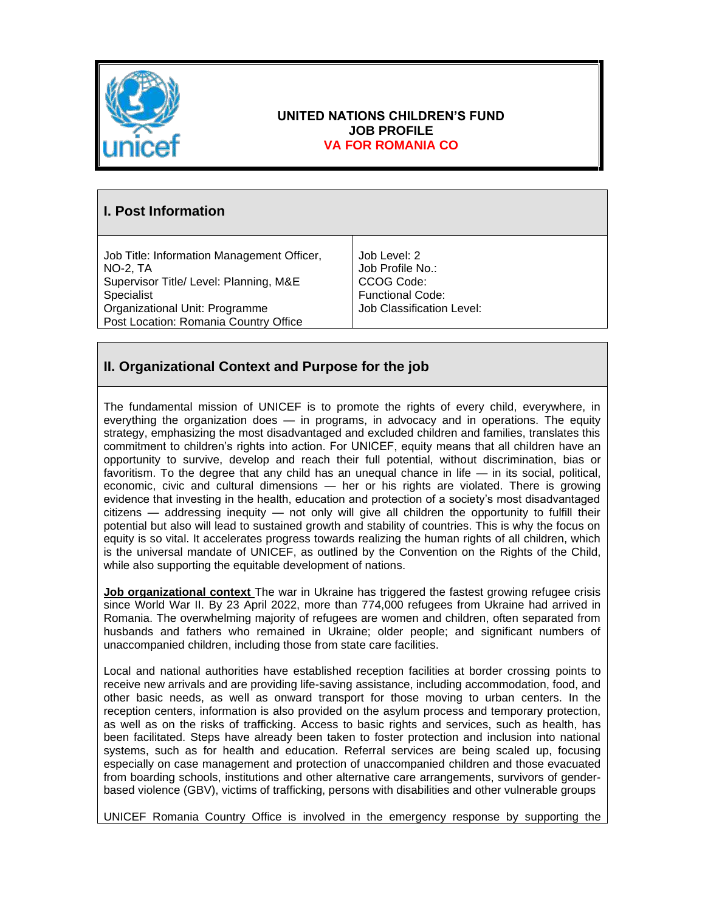

### **UNITED NATIONS CHILDREN'S FUND JOB PROFILE VA FOR ROMANIA CO**

# **I. Post Information**

Job Title: Information Management Officer, NO-2, TA Supervisor Title/ Level: Planning, M&E Specialist Organizational Unit: Programme Post Location: Romania Country Office

Job Level: 2 Job Profile No.: CCOG Code: Functional Code: Job Classification Level:

# **II. Organizational Context and Purpose for the job**

The fundamental mission of UNICEF is to promote the rights of every child, everywhere, in everything the organization does — in programs, in advocacy and in operations. The equity strategy, emphasizing the most disadvantaged and excluded children and families, translates this commitment to children's rights into action. For UNICEF, equity means that all children have an opportunity to survive, develop and reach their full potential, without discrimination, bias or favoritism. To the degree that any child has an unequal chance in life  $-$  in its social, political, economic, civic and cultural dimensions — her or his rights are violated. There is growing evidence that investing in the health, education and protection of a society's most disadvantaged citizens — addressing inequity — not only will give all children the opportunity to fulfill their potential but also will lead to sustained growth and stability of countries. This is why the focus on equity is so vital. It accelerates progress towards realizing the human rights of all children, which is the universal mandate of UNICEF, as outlined by the Convention on the Rights of the Child, while also supporting the equitable development of nations.

**Job organizational context** The war in Ukraine has triggered the fastest growing refugee crisis since World War II. By 23 April 2022, more than 774,000 refugees from Ukraine had arrived in Romania. The overwhelming majority of refugees are women and children, often separated from husbands and fathers who remained in Ukraine; older people; and significant numbers of unaccompanied children, including those from state care facilities.

Local and national authorities have established reception facilities at border crossing points to receive new arrivals and are providing life-saving assistance, including accommodation, food, and other basic needs, as well as onward transport for those moving to urban centers. In the reception centers, information is also provided on the asylum process and temporary protection, as well as on the risks of trafficking. Access to basic rights and services, such as health, has been facilitated. Steps have already been taken to foster protection and inclusion into national systems, such as for health and education. Referral services are being scaled up, focusing especially on case management and protection of unaccompanied children and those evacuated from boarding schools, institutions and other alternative care arrangements, survivors of genderbased violence (GBV), victims of trafficking, persons with disabilities and other vulnerable groups

UNICEF Romania Country Office is involved in the emergency response by supporting the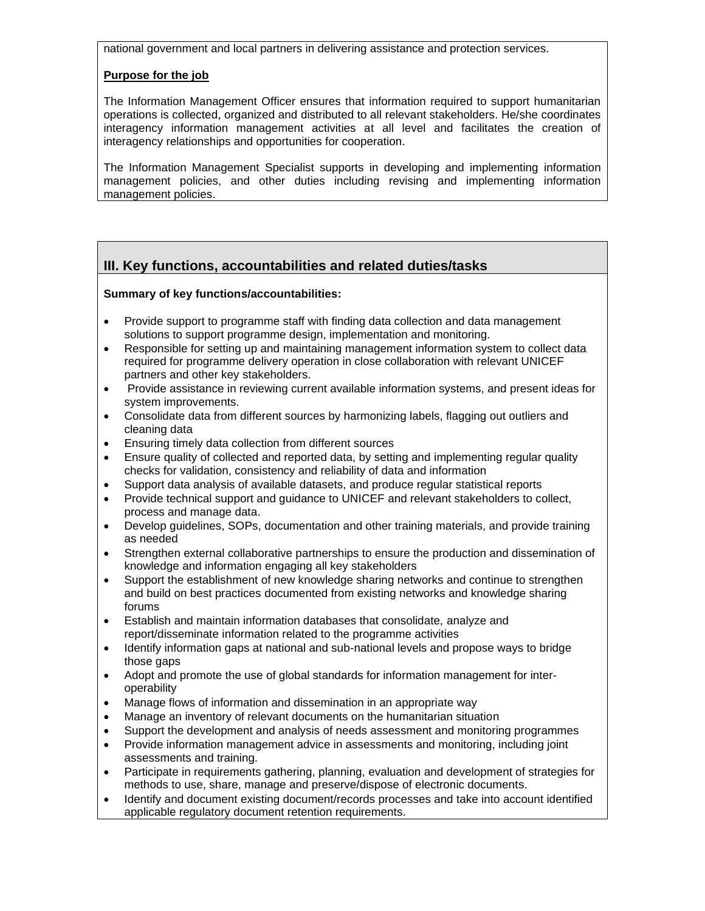national government and local partners in delivering assistance and protection services.

#### **Purpose for the job**

The Information Management Officer ensures that information required to support humanitarian operations is collected, organized and distributed to all relevant stakeholders. He/she coordinates interagency information management activities at all level and facilitates the creation of interagency relationships and opportunities for cooperation.

The Information Management Specialist supports in developing and implementing information management policies, and other duties including revising and implementing information management policies.

## **III. Key functions, accountabilities and related duties/tasks**

#### **Summary of key functions/accountabilities:**

- Provide support to programme staff with finding data collection and data management solutions to support programme design, implementation and monitoring.
- Responsible for setting up and maintaining management information system to collect data required for programme delivery operation in close collaboration with relevant UNICEF partners and other key stakeholders.
- Provide assistance in reviewing current available information systems, and present ideas for system improvements.
- Consolidate data from different sources by harmonizing labels, flagging out outliers and cleaning data
- Ensuring timely data collection from different sources
- Ensure quality of collected and reported data, by setting and implementing regular quality checks for validation, consistency and reliability of data and information
- Support data analysis of available datasets, and produce regular statistical reports
- Provide technical support and guidance to UNICEF and relevant stakeholders to collect, process and manage data.
- Develop guidelines, SOPs, documentation and other training materials, and provide training as needed
- Strengthen external collaborative partnerships to ensure the production and dissemination of knowledge and information engaging all key stakeholders
- Support the establishment of new knowledge sharing networks and continue to strengthen and build on best practices documented from existing networks and knowledge sharing forums
- Establish and maintain information databases that consolidate, analyze and report/disseminate information related to the programme activities
- Identify information gaps at national and sub-national levels and propose ways to bridge those gaps
- Adopt and promote the use of global standards for information management for interoperability
- Manage flows of information and dissemination in an appropriate way
- Manage an inventory of relevant documents on the humanitarian situation
- Support the development and analysis of needs assessment and monitoring programmes
- Provide information management advice in assessments and monitoring, including joint assessments and training.
- Participate in requirements gathering, planning, evaluation and development of strategies for methods to use, share, manage and preserve/dispose of electronic documents.
- Identify and document existing document/records processes and take into account identified applicable regulatory document retention requirements.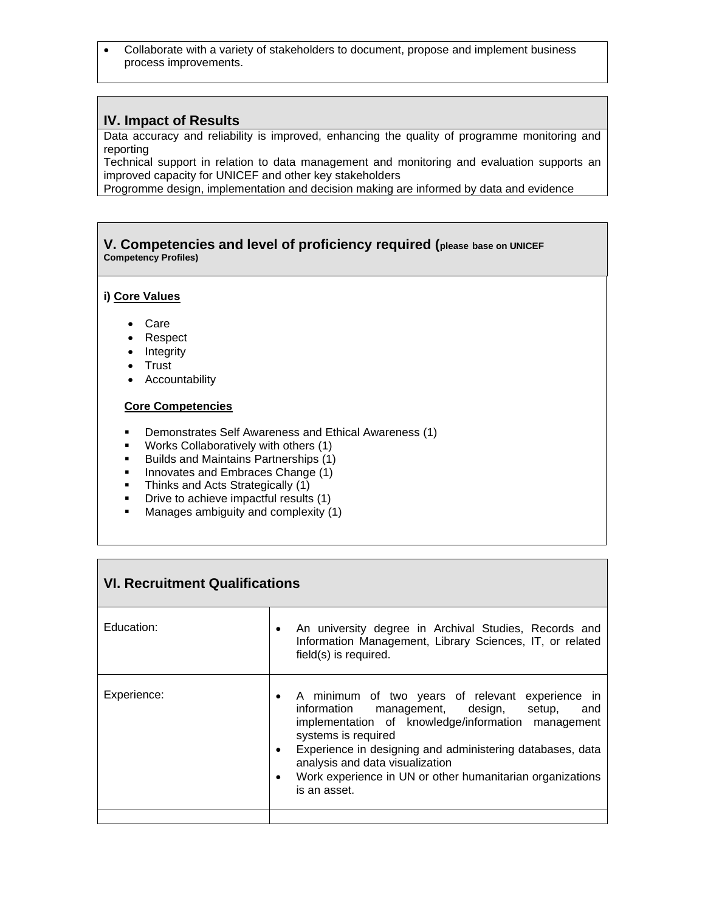• Collaborate with a variety of stakeholders to document, propose and implement business process improvements.

### **IV. Impact of Results**

Data accuracy and reliability is improved, enhancing the quality of programme monitoring and reporting

Technical support in relation to data management and monitoring and evaluation supports an improved capacity for UNICEF and other key stakeholders

Progromme design, implementation and decision making are informed by data and evidence

#### **V. Competencies and level of proficiency required (please base on UNICEF Competency Profiles)**

#### **i) Core Values**

- Care
- Respect
- Integrity
- Trust
- Accountability

#### **Core Competencies**

- Demonstrates Self Awareness and Ethical Awareness (1)
- Works Collaboratively with others (1)
- Builds and Maintains Partnerships (1)
- **■** Innovates and Embraces Change (1)
- **E** Thinks and Acts Strategically (1)
- Drive to achieve impactful results (1)<br>■ Manages ambiquity and complexity (1)
- Manages ambiguity and complexity (1)

| <b>VI. Recruitment Qualifications</b> |                                                                                                                                                                                                                                                                                                                                                                                                    |
|---------------------------------------|----------------------------------------------------------------------------------------------------------------------------------------------------------------------------------------------------------------------------------------------------------------------------------------------------------------------------------------------------------------------------------------------------|
| Education:                            | An university degree in Archival Studies, Records and<br>٠<br>Information Management, Library Sciences, IT, or related<br>field(s) is required.                                                                                                                                                                                                                                                    |
| Experience:                           | A minimum of two years of relevant experience in<br>$\bullet$<br>information management, design, setup,<br>and<br>implementation of knowledge/information management<br>systems is required<br>Experience in designing and administering databases, data<br>$\bullet$<br>analysis and data visualization<br>Work experience in UN or other humanitarian organizations<br>$\bullet$<br>is an asset. |